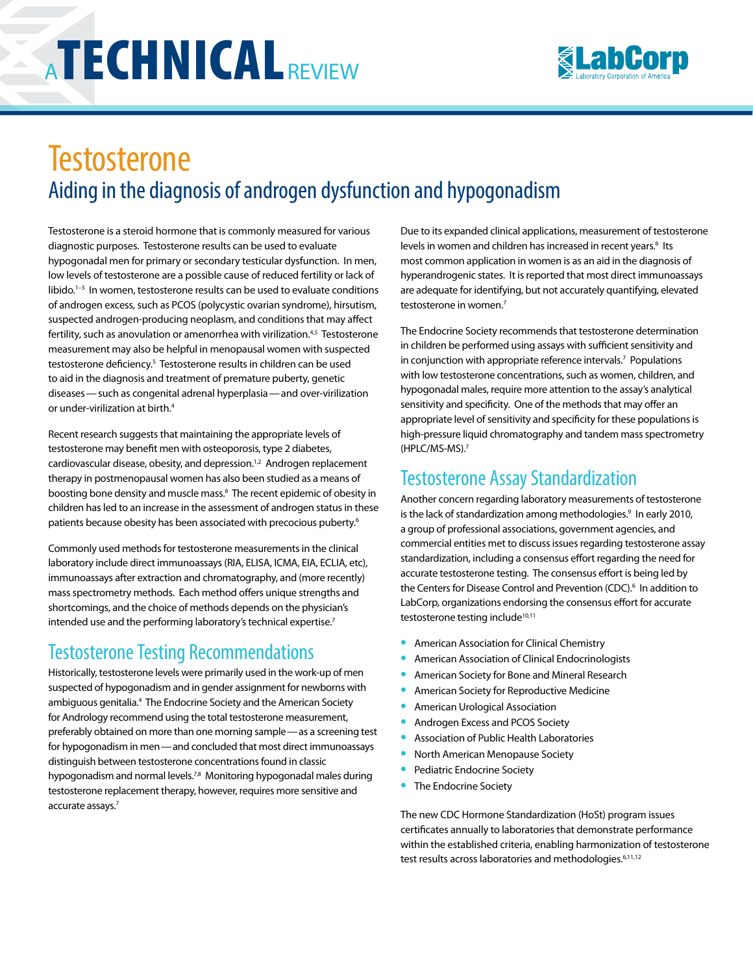

# **Testosterone** Aiding in the diagnosis of androgen dysfunction and hypogonadism

Testosterone is a steroid hormone that is commonly measured for various diagnostic purposes. Testosterone results can be used to evaluate hypogonadal men for primary or secondary testicular dysfunction. In men, low levels of testosterone are a possible cause of reduced fertility or lack of libido.<sup>1-3</sup> In women, testosterone results can be used to evaluate conditions of androgen excess, such as PCOS (polycystic ovarian syndrome), hirsutism, suspected androgen-producing neoplasm, and conditions that may affect fertility, such as anovulation or amenorrhea with virilization.<sup>4,5</sup> Testosterone measurement may also be helpful in menopausal women with suspected testosterone deficiency.<sup>5</sup> Testosterone results in children can be used to aid in the diagnosis and treatment of premature puberty, genetic diseases—such as congenital adrenal hyperplasia—and over-virilization or under-virilization at birth.4

Recent research suggests that maintaining the appropriate levels of testosterone may benefit men with osteoporosis, type 2 diabetes, cardiovascular disease, obesity, and depression.<sup>1,2</sup> Androgen replacement therapy in postmenopausal women has also been studied as a means of boosting bone density and muscle mass.6 The recent epidemic of obesity in children has led to an increase in the assessment of androgen status in these patients because obesity has been associated with precocious puberty.<sup>6</sup>

Commonly used methods for testosterone measurements in the clinical laboratory include direct immunoassays (RIA, ELISA, ICMA, EIA, ECLIA, etc), immunoassays after extraction and chromatography, and (more recently) mass spectrometry methods. Each method offers unique strengths and shortcomings, and the choice of methods depends on the physician's intended use and the performing laboratory's technical expertise.<sup>7</sup>

## Testosterone Testing Recommendations

Historically, testosterone levels were primarily used in the work-up of men suspected of hypogonadism and in gender assignment for newborns with ambiguous genitalia.<sup>4</sup> The Endocrine Society and the American Society for Andrology recommend using the total testosterone measurement, preferably obtained on more than one morning sample—as a screening test for hypogonadism in men—and concluded that most direct immunoassays distinguish between testosterone concentrations found in classic hypogonadism and normal levels.<sup>7,8</sup> Monitoring hypogonadal males during testosterone replacement therapy, however, requires more sensitive and accurate assays.7

Due to its expanded clinical applications, measurement of testosterone levels in women and children has increased in recent years.<sup>6</sup> Its most common application in women is as an aid in the diagnosis of hyperandrogenic states. It is reported that most direct immunoassays are adequate for identifying, but not accurately quantifying, elevated testosterone in women.<sup>7</sup>

The Endocrine Society recommends that testosterone determination in children be performed using assays with sufficient sensitivity and in conjunction with appropriate reference intervals.<sup>7</sup> Populations with low testosterone concentrations, such as women, children, and hypogonadal males, require more attention to the assay's analytical sensitivity and specificity. One of the methods that may offer an appropriate level of sensitivity and specificity for these populations is high-pressure liquid chromatography and tandem mass spectrometry (HPLC/MS-MS).7

#### Testosterone Assay Standardization

Another concern regarding laboratory measurements of testosterone is the lack of standardization among methodologies.<sup>9</sup> In early 2010, a group of professional associations, government agencies, and commercial entities met to discuss issues regarding testosterone assay standardization, including a consensus effort regarding the need for accurate testosterone testing. The consensus effort is being led by the Centers for Disease Control and Prevention (CDC).<sup>6</sup> In addition to LabCorp, organizations endorsing the consensus effort for accurate testosterone testing include<sup>10,11</sup>

- **•** American Association for Clinical Chemistry
- **•** American Association of Clinical Endocrinologists
- **•** American Society for Bone and Mineral Research
- **•** American Society for Reproductive Medicine
- **•** American Urological Association
- **•** Androgen Excess and PCOS Society
- **•** Association of Public Health Laboratories
- **•** North American Menopause Society
- **•** Pediatric Endocrine Society
- **•** The Endocrine Society

The new CDC Hormone Standardization (HoSt) program issues certificates annually to laboratories that demonstrate performance within the established criteria, enabling harmonization of testosterone test results across laboratories and methodologies.<sup>6,11,12</sup>